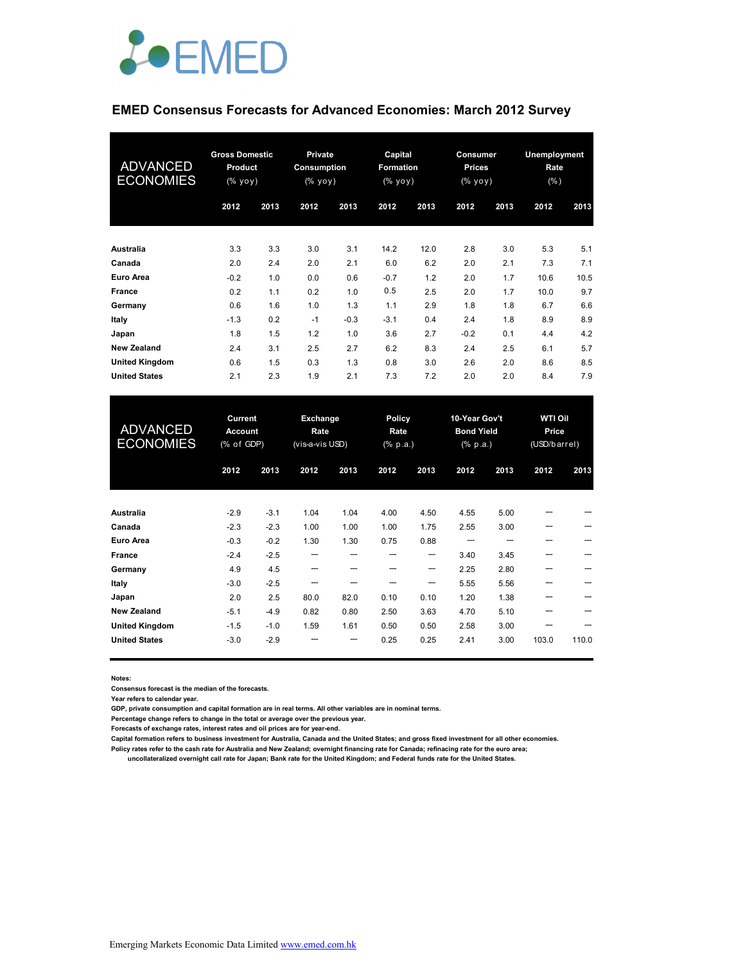

# **EMED Consensus Forecasts for Advanced Economies: March 2012 Survey**

| <b>ADVANCED</b><br><b>ECONOMIES</b> | <b>Gross Domestic</b><br><b>Product</b><br>(% |      | <b>Private</b><br>Consumption<br>$(\%$ yoy) |        | Capital<br><b>Formation</b><br>$(% \mathbf{y}\mathbf{y})$ (% $\mathbf{y}\mathbf{0}\mathbf{y}$ ) |      | Consumer<br><b>Prices</b><br>(% yoy) |      | <b>Unemployment</b><br>Rate<br>$(\% )$ |      |
|-------------------------------------|-----------------------------------------------|------|---------------------------------------------|--------|-------------------------------------------------------------------------------------------------|------|--------------------------------------|------|----------------------------------------|------|
|                                     | 2012                                          | 2013 | 2012                                        | 2013   | 2012                                                                                            | 2013 | 2012                                 | 2013 | 2012                                   | 2013 |
| <b>Australia</b>                    | 3.3                                           | 3.3  | 3.0                                         | 3.1    | 14.2                                                                                            | 12.0 | 2.8                                  | 3.0  | 5.3                                    | 5.1  |
| Canada                              | 2.0                                           | 2.4  | 2.0                                         | 2.1    | 6.0                                                                                             | 6.2  | 2.0                                  | 2.1  | 7.3                                    | 7.1  |
| <b>Euro Area</b>                    | $-0.2$                                        | 1.0  | 0.0                                         | 0.6    | $-0.7$                                                                                          | 1.2  | 2.0                                  | 1.7  | 10.6                                   | 10.5 |
| France                              | 0.2                                           | 1.1  | 0.2                                         | 1.0    | 0.5                                                                                             | 2.5  | 2.0                                  | 1.7  | 10.0                                   | 9.7  |
| Germany                             | 0.6                                           | 1.6  | 1.0                                         | 1.3    | 1.1                                                                                             | 2.9  | 1.8                                  | 1.8  | 6.7                                    | 6.6  |
| Italy                               | $-1.3$                                        | 0.2  | $-1$                                        | $-0.3$ | $-3.1$                                                                                          | 0.4  | 2.4                                  | 1.8  | 8.9                                    | 8.9  |
| Japan                               | 1.8                                           | 1.5  | 1.2                                         | 1.0    | 3.6                                                                                             | 2.7  | $-0.2$                               | 0.1  | 4.4                                    | 4.2  |
| <b>New Zealand</b>                  | 2.4                                           | 3.1  | 2.5                                         | 2.7    | 6.2                                                                                             | 8.3  | 2.4                                  | 2.5  | 6.1                                    | 5.7  |
| <b>United Kingdom</b>               | 0.6                                           | 1.5  | 0.3                                         | 1.3    | 0.8                                                                                             | 3.0  | 2.6                                  | 2.0  | 8.6                                    | 8.5  |
| <b>United States</b>                | 2.1                                           | 2.3  | 1.9                                         | 2.1    | 7.3                                                                                             | 7.2  | 2.0                                  | 2.0  | 8.4                                    | 7.9  |

| <b>ADVANCED</b><br><b>ECONOMIES</b> | Current<br><b>Account</b><br>(% of GDP) |        | Exchange<br>Rate<br>(vis-a-vis USD) |      | Policy<br>Rate<br>(% p.a.) |      | 10-Year Gov't<br><b>Bond Yield</b><br>(% p.a.) |      | <b>WTI Oil</b><br>Price<br>(USD/barrel) |       |
|-------------------------------------|-----------------------------------------|--------|-------------------------------------|------|----------------------------|------|------------------------------------------------|------|-----------------------------------------|-------|
|                                     | 2012                                    | 2013   | 2012                                | 2013 | 2012                       | 2013 | 2012                                           | 2013 | 2012                                    | 2013  |
| <b>Australia</b>                    | $-2.9$                                  | $-3.1$ | 1.04                                | 1.04 | 4.00                       | 4.50 | 4.55                                           | 5.00 |                                         |       |
| Canada                              | $-2.3$                                  | $-2.3$ | 1.00                                | 1.00 | 1.00                       | 1.75 | 2.55                                           | 3.00 | ---                                     |       |
| <b>Euro Area</b>                    | $-0.3$                                  | $-0.2$ | 1.30                                | 1.30 | 0.75                       | 0.88 |                                                |      |                                         |       |
| <b>France</b>                       | $-2.4$                                  | $-2.5$ | ---                                 |      |                            | ---  | 3.40                                           | 3.45 |                                         |       |
| Germany                             | 4.9                                     | 4.5    |                                     |      |                            | ---  | 2.25                                           | 2.80 |                                         |       |
| Italy                               | $-3.0$                                  | $-2.5$ |                                     |      |                            | ---  | 5.55                                           | 5.56 |                                         |       |
| Japan                               | 2.0                                     | 2.5    | 80.0                                | 82.0 | 0.10                       | 0.10 | 1.20                                           | 1.38 |                                         |       |
| <b>New Zealand</b>                  | $-5.1$                                  | $-4.9$ | 0.82                                | 0.80 | 2.50                       | 3.63 | 4.70                                           | 5.10 |                                         |       |
| <b>United Kingdom</b>               | $-1.5$                                  | $-1.0$ | 1.59                                | 1.61 | 0.50                       | 0.50 | 2.58                                           | 3.00 |                                         |       |
| <b>United States</b>                | $-3.0$                                  | $-2.9$ |                                     |      | 0.25                       | 0.25 | 2.41                                           | 3.00 | 103.0                                   | 110.0 |

**Notes:** 

**Consensus forecast is the median of the forecasts.**

**Year refers to calendar year.**

**GDP, private consumption and capital formation are in real terms. All other variables are in nominal terms.**

**Percentage change refers to change in the total or average over the previous year.**

**Forecasts of exchange rates, interest rates and oil prices are for year-end.**

**Capital formation refers to business investment for Australia, Canada and the United States; and gross fixed investment for all other economies.**

**Policy rates refer to the cash rate for Australia and New Zealand; overnight financing rate for Canada; refinacing rate for the euro area;** 

 **uncollateralized overnight call rate for Japan; Bank rate for the United Kingdom; and Federal funds rate for the United States.**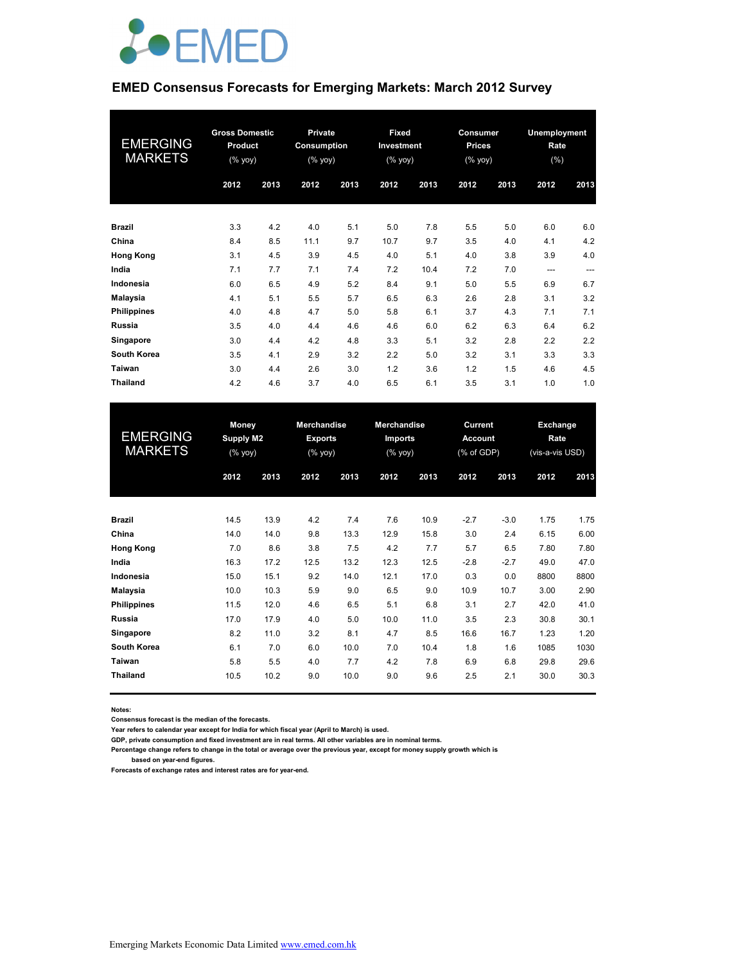

### **EMED Consensus Forecasts for Emerging Markets: March 2012 Survey**

| <b>EMERGING</b><br><b>MARKETS</b> | <b>Gross Domestic</b><br><b>Product</b><br>(% yoy) |      | Private<br>Consumption<br>$(\sqrt[6]{6}$ yoy) |      | <b>Fixed</b><br>Investment<br>(% yoy) |      | <b>Consumer</b><br><b>Prices</b><br>$(%$ (% yoy) |      | Unemployment<br>Rate<br>(% ) |      |
|-----------------------------------|----------------------------------------------------|------|-----------------------------------------------|------|---------------------------------------|------|--------------------------------------------------|------|------------------------------|------|
|                                   | 2012                                               | 2013 | 2012                                          | 2013 | 2012                                  | 2013 | 2012                                             | 2013 | 2012                         | 2013 |
| <b>Brazil</b>                     | 3.3                                                | 4.2  | 4.0                                           | 5.1  | 5.0                                   | 7.8  | 5.5                                              | 5.0  | 6.0                          | 6.0  |
| China                             | 8.4                                                | 8.5  | 11.1                                          | 9.7  | 10.7                                  | 9.7  | 3.5                                              | 4.0  | 4.1                          | 4.2  |
| <b>Hong Kong</b>                  | 3.1                                                | 4.5  | 3.9                                           | 4.5  | 4.0                                   | 5.1  | 4.0                                              | 3.8  | 3.9                          | 4.0  |
| India                             | 7.1                                                | 7.7  | 7.1                                           | 7.4  | 7.2                                   | 10.4 | 7.2                                              | 7.0  | ---                          | ---  |
| Indonesia                         | 6.0                                                | 6.5  | 4.9                                           | 5.2  | 8.4                                   | 9.1  | 5.0                                              | 5.5  | 6.9                          | 6.7  |
| <b>Malaysia</b>                   | 4.1                                                | 5.1  | 5.5                                           | 5.7  | 6.5                                   | 6.3  | 2.6                                              | 2.8  | 3.1                          | 3.2  |
| <b>Philippines</b>                | 4.0                                                | 4.8  | 4.7                                           | 5.0  | 5.8                                   | 6.1  | 3.7                                              | 4.3  | 7.1                          | 7.1  |
| <b>Russia</b>                     | 3.5                                                | 4.0  | 4.4                                           | 4.6  | 4.6                                   | 6.0  | 6.2                                              | 6.3  | 6.4                          | 6.2  |
| Singapore                         | 3.0                                                | 4.4  | 4.2                                           | 4.8  | 3.3                                   | 5.1  | 3.2                                              | 2.8  | 2.2                          | 2.2  |
| <b>South Korea</b>                | 3.5                                                | 4.1  | 2.9                                           | 3.2  | 2.2                                   | 5.0  | 3.2                                              | 3.1  | 3.3                          | 3.3  |
| Taiwan                            | 3.0                                                | 4.4  | 2.6                                           | 3.0  | 1.2                                   | 3.6  | 1.2                                              | 1.5  | 4.6                          | 4.5  |
| <b>Thailand</b>                   | 4.2                                                | 4.6  | 3.7                                           | 4.0  | 6.5                                   | 6.1  | 3.5                                              | 3.1  | 1.0                          | 1.0  |

| <b>EMERGING</b><br><b>MARKETS</b> | Money<br>Supply M2<br>(% yoy) |      | <b>Merchandise</b><br><b>Exports</b><br>(% yoy) |      | <b>Merchandise</b><br><b>Imports</b><br>(% yoy) |      | Current<br><b>Account</b><br>(% of GDP) |        | Exchange<br>Rate<br>(vis-a-vis USD) |      |
|-----------------------------------|-------------------------------|------|-------------------------------------------------|------|-------------------------------------------------|------|-----------------------------------------|--------|-------------------------------------|------|
|                                   | 2012                          | 2013 | 2012                                            | 2013 | 2012                                            | 2013 | 2012                                    | 2013   | 2012                                | 2013 |
| <b>Brazil</b>                     | 14.5                          | 13.9 | 4.2                                             | 7.4  | 7.6                                             | 10.9 | $-2.7$                                  | $-3.0$ | 1.75                                | 1.75 |
| China                             | 14.0                          | 14.0 | 9.8                                             | 13.3 | 12.9                                            | 15.8 | 3.0                                     | 2.4    | 6.15                                | 6.00 |
| <b>Hong Kong</b>                  | 7.0                           | 8.6  | 3.8                                             | 7.5  | 4.2                                             | 7.7  | 5.7                                     | 6.5    | 7.80                                | 7.80 |
| India                             | 16.3                          | 17.2 | 12.5                                            | 13.2 | 12.3                                            | 12.5 | $-2.8$                                  | $-2.7$ | 49.0                                | 47.0 |
| Indonesia                         | 15.0                          | 15.1 | 9.2                                             | 14.0 | 12.1                                            | 17.0 | 0.3                                     | 0.0    | 8800                                | 8800 |
| Malaysia                          | 10.0                          | 10.3 | 5.9                                             | 9.0  | 6.5                                             | 9.0  | 10.9                                    | 10.7   | 3.00                                | 2.90 |
| <b>Philippines</b>                | 11.5                          | 12.0 | 4.6                                             | 6.5  | 5.1                                             | 6.8  | 3.1                                     | 2.7    | 42.0                                | 41.0 |
| <b>Russia</b>                     | 17.0                          | 17.9 | 4.0                                             | 5.0  | 10.0                                            | 11.0 | 3.5                                     | 2.3    | 30.8                                | 30.1 |
| Singapore                         | 8.2                           | 11.0 | 3.2                                             | 8.1  | 4.7                                             | 8.5  | 16.6                                    | 16.7   | 1.23                                | 1.20 |
| <b>South Korea</b>                | 6.1                           | 7.0  | 6.0                                             | 10.0 | 7.0                                             | 10.4 | 1.8                                     | 1.6    | 1085                                | 1030 |
| Taiwan                            | 5.8                           | 5.5  | 4.0                                             | 7.7  | 4.2                                             | 7.8  | 6.9                                     | 6.8    | 29.8                                | 29.6 |
| <b>Thailand</b>                   | 10.5                          | 10.2 | 9.0                                             | 10.0 | 9.0                                             | 9.6  | 2.5                                     | 2.1    | 30.0                                | 30.3 |

**Notes:** 

**Consensus forecast is the median of the forecasts.**

**Year refers to calendar year except for India for which fiscal year (April to March) is used.**

**GDP, private consumption and fixed investment are in real terms. All other variables are in nominal terms.**

**Percentage change refers to change in the total or average over the previous year, except for money supply growth which is based on year-end figures.**

**Forecasts of exchange rates and interest rates are for year-end.**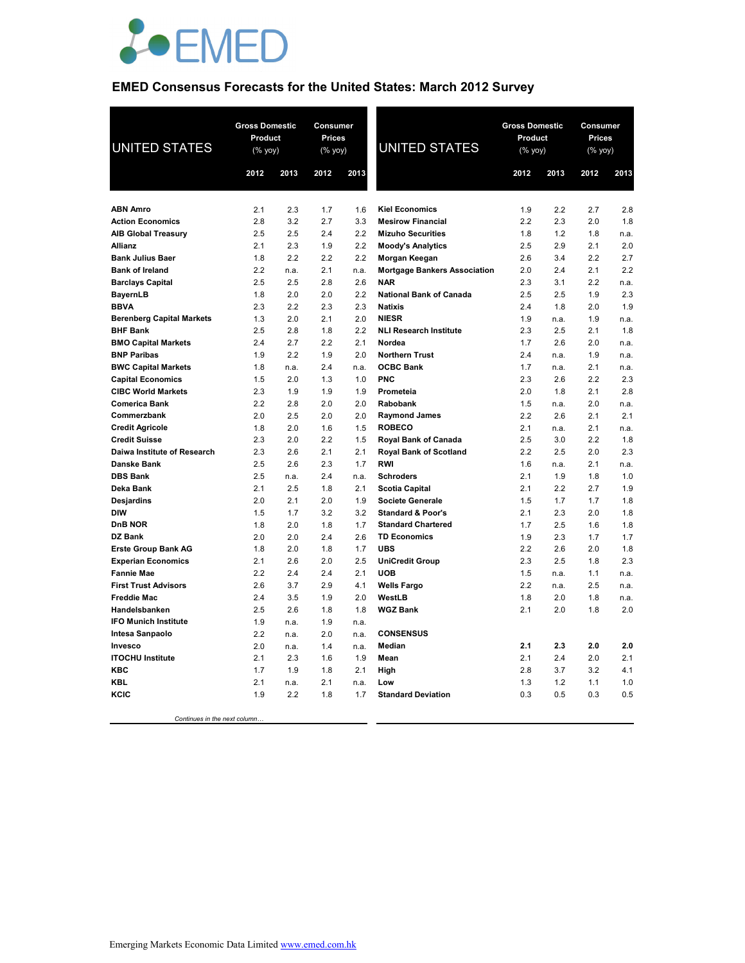

# **EMED Consensus Forecasts for the United States: March 2012 Survey**

| <b>UNITED STATES</b>                                | <b>Gross Domestic</b><br>Product<br>(% yoy) |            | Consumer<br><b>Prices</b><br>(% yoy) |            | <b>UNITED STATES</b>                                  | <b>Gross Domestic</b><br>Product<br>(% yoy) |            | Consumer<br><b>Prices</b><br>$(% \mathsf{Y}\rightarrow \mathsf{Y})$ (% $\mathsf{Y}\rightarrow \mathsf{Y}$ |             |
|-----------------------------------------------------|---------------------------------------------|------------|--------------------------------------|------------|-------------------------------------------------------|---------------------------------------------|------------|-----------------------------------------------------------------------------------------------------------|-------------|
|                                                     | 2012                                        | 2013       | 2012                                 | 2013       |                                                       | 2012                                        | 2013       | 2012                                                                                                      | 2013        |
|                                                     |                                             |            |                                      |            |                                                       |                                             |            |                                                                                                           |             |
| <b>ABN Amro</b>                                     | 2.1                                         | 2.3        | 1.7                                  | 1.6        | <b>Kiel Economics</b>                                 | 1.9                                         | 2.2        | 2.7                                                                                                       | 2.8         |
| <b>Action Economics</b>                             | 2.8                                         | 3.2        | 2.7                                  | 3.3        | <b>Mesirow Financial</b>                              | 2.2                                         | 2.3        | 2.0                                                                                                       | 1.8         |
| <b>AIB Global Treasury</b>                          | 2.5                                         | 2.5        | 2.4                                  | 2.2        | <b>Mizuho Securities</b>                              | 1.8                                         | 1.2        | 1.8                                                                                                       | n.a.        |
| Allianz                                             | 2.1                                         | 2.3        | 1.9                                  | 2.2        | <b>Moody's Analytics</b>                              | 2.5                                         | 2.9        | 2.1                                                                                                       | 2.0         |
| <b>Bank Julius Baer</b>                             | 1.8                                         | 2.2        | 2.2                                  | 2.2        | Morgan Keegan                                         | 2.6                                         | 3.4        | 2.2                                                                                                       | 2.7         |
| <b>Bank of Ireland</b>                              | 2.2                                         | n.a.       | 2.1                                  | n.a.       | <b>Mortgage Bankers Association</b>                   | 2.0                                         | 2.4        | 2.1                                                                                                       | 2.2         |
| <b>Barclays Capital</b>                             | 2.5                                         | 2.5        | 2.8                                  | 2.6        | <b>NAR</b>                                            | 2.3                                         | 3.1        | 2.2                                                                                                       | n.a.        |
| <b>BayernLB</b>                                     | 1.8                                         | 2.0        | 2.0                                  | 2.2        | <b>National Bank of Canada</b>                        | 2.5                                         | 2.5        | 1.9                                                                                                       | 2.3         |
| <b>BBVA</b>                                         | 2.3                                         | 2.2        | 2.3                                  | 2.3        | <b>Natixis</b>                                        | 2.4                                         | 1.8        | 2.0                                                                                                       | 1.9         |
| <b>Berenberg Capital Markets</b>                    | 1.3                                         | 2.0        | 2.1                                  | 2.0        | <b>NIESR</b>                                          | 1.9                                         | n.a.       | 1.9                                                                                                       | n.a.        |
| <b>BHF Bank</b>                                     | 2.5                                         | 2.8        | 1.8                                  | 2.2        | <b>NLI Research Institute</b>                         | 2.3                                         | 2.5        | 2.1                                                                                                       | 1.8         |
| <b>BMO Capital Markets</b>                          | 2.4                                         | 2.7        | 2.2                                  | 2.1        | Nordea                                                | 1.7                                         | 2.6        | 2.0                                                                                                       | n.a.        |
| <b>BNP Paribas</b>                                  | 1.9                                         | 2.2        | 1.9                                  | 2.0        | <b>Northern Trust</b>                                 | 2.4                                         | n.a.       | 1.9                                                                                                       | n.a.        |
| <b>BWC Capital Markets</b>                          | 1.8                                         | n.a.       | 2.4                                  | n.a.       | <b>OCBC Bank</b>                                      | 1.7                                         | n.a.       | 2.1                                                                                                       | n.a.        |
| <b>Capital Economics</b>                            | 1.5                                         | 2.0        | 1.3                                  | 1.0        | <b>PNC</b>                                            | 2.3                                         | 2.6        | 2.2                                                                                                       | 2.3         |
| <b>CIBC World Markets</b>                           | 2.3                                         | 1.9        | 1.9                                  | 1.9        | Prometeia                                             | 2.0                                         | 1.8        | 2.1                                                                                                       | 2.8         |
| <b>Comerica Bank</b>                                | 2.2                                         | 2.8        | 2.0                                  | 2.0        | Rabobank                                              | 1.5                                         | n.a.       | 2.0                                                                                                       | n.a.<br>2.1 |
| Commerzbank                                         | 2.0                                         | 2.5        | 2.0                                  | 2.0        | <b>Raymond James</b>                                  | 2.2                                         | 2.6        | 2.1                                                                                                       |             |
| <b>Credit Agricole</b>                              | 1.8<br>2.3                                  | 2.0<br>2.0 | 1.6<br>2.2                           | 1.5<br>1.5 | <b>ROBECO</b>                                         | 2.1<br>2.5                                  | n.a.       | 2.1<br>2.2                                                                                                | n.a.<br>1.8 |
| <b>Credit Suisse</b><br>Daiwa Institute of Research | 2.3                                         | 2.6        | 2.1                                  | 2.1        | Royal Bank of Canada<br><b>Royal Bank of Scotland</b> | 2.2                                         | 3.0<br>2.5 | 2.0                                                                                                       | 2.3         |
| <b>Danske Bank</b>                                  | 2.5                                         | 2.6        | 2.3                                  | 1.7        | <b>RWI</b>                                            | 1.6                                         | n.a.       | 2.1                                                                                                       | n.a.        |
| <b>DBS Bank</b>                                     | 2.5                                         | n.a.       | 2.4                                  | n.a.       | <b>Schroders</b>                                      | 2.1                                         | 1.9        | 1.8                                                                                                       | 1.0         |
| Deka Bank                                           | 2.1                                         | 2.5        | 1.8                                  | 2.1        | <b>Scotia Capital</b>                                 | 2.1                                         | 2.2        | 2.7                                                                                                       | 1.9         |
| <b>Desjardins</b>                                   | 2.0                                         | 2.1        | 2.0                                  | 1.9        | <b>Societe Generale</b>                               | 1.5                                         | 1.7        | 1.7                                                                                                       | 1.8         |
| <b>DIW</b>                                          | 1.5                                         | 1.7        | 3.2                                  | 3.2        | <b>Standard &amp; Poor's</b>                          | 2.1                                         | 2.3        | 2.0                                                                                                       | 1.8         |
| D <sub>n</sub> B NOR                                | 1.8                                         | 2.0        | 1.8                                  | 1.7        | <b>Standard Chartered</b>                             | 1.7                                         | 2.5        | 1.6                                                                                                       | 1.8         |
| DZ Bank                                             | 2.0                                         | 2.0        | 2.4                                  | 2.6        | <b>TD Economics</b>                                   | 1.9                                         | 2.3        | 1.7                                                                                                       | 1.7         |
| <b>Erste Group Bank AG</b>                          | 1.8                                         | 2.0        | 1.8                                  | 1.7        | <b>UBS</b>                                            | 2.2                                         | 2.6        | 2.0                                                                                                       | 1.8         |
| <b>Experian Economics</b>                           | 2.1                                         | 2.6        | 2.0                                  | 2.5        | <b>UniCredit Group</b>                                | 2.3                                         | 2.5        | 1.8                                                                                                       | 2.3         |
| <b>Fannie Mae</b>                                   | 2.2                                         | 2.4        | 2.4                                  | 2.1        | <b>UOB</b>                                            | 1.5                                         | n.a.       | 1.1                                                                                                       | n.a.        |
| <b>First Trust Advisors</b>                         | 2.6                                         | 3.7        | 2.9                                  | 4.1        | <b>Wells Fargo</b>                                    | 2.2                                         | n.a.       | 2.5                                                                                                       | n.a.        |
| <b>Freddie Mac</b>                                  | 2.4                                         | 3.5        | 1.9                                  | 2.0        | WestLB                                                | 1.8                                         | 2.0        | 1.8                                                                                                       | n.a.        |
| Handelsbanken                                       | 2.5                                         | 2.6        | 1.8                                  | 1.8        | <b>WGZ Bank</b>                                       | 2.1                                         | 2.0        | 1.8                                                                                                       | 2.0         |
| <b>IFO Munich Institute</b>                         | 1.9                                         | n.a.       | 1.9                                  | n.a.       |                                                       |                                             |            |                                                                                                           |             |
| Intesa Sanpaolo                                     | 2.2                                         | n.a.       | 2.0                                  | n.a.       | <b>CONSENSUS</b>                                      |                                             |            |                                                                                                           |             |
| Invesco                                             | 2.0                                         | n.a.       | 1.4                                  | n.a.       | <b>Median</b>                                         | 2.1                                         | 2.3        | 2.0                                                                                                       | 2.0         |
| <b>ITOCHU Institute</b>                             | 2.1                                         | 2.3        | 1.6                                  | 1.9        | Mean                                                  | 2.1                                         | 2.4        | 2.0                                                                                                       | 2.1         |
| <b>KBC</b>                                          | 1.7                                         | 1.9        | 1.8                                  | 2.1        | High                                                  | 2.8                                         | 3.7        | 3.2                                                                                                       | 4.1         |
| <b>KBL</b>                                          | 2.1                                         | n.a.       | 2.1                                  | n.a.       | Low                                                   | 1.3                                         | 1.2        | 1.1                                                                                                       | 1.0         |
| KCIC                                                | 1.9                                         | 2.2        | 1.8                                  | 1.7        | <b>Standard Deviation</b>                             | 0.3                                         | 0.5        | 0.3                                                                                                       | 0.5         |
|                                                     |                                             |            |                                      |            |                                                       |                                             |            |                                                                                                           |             |

 *Continues in the next column…*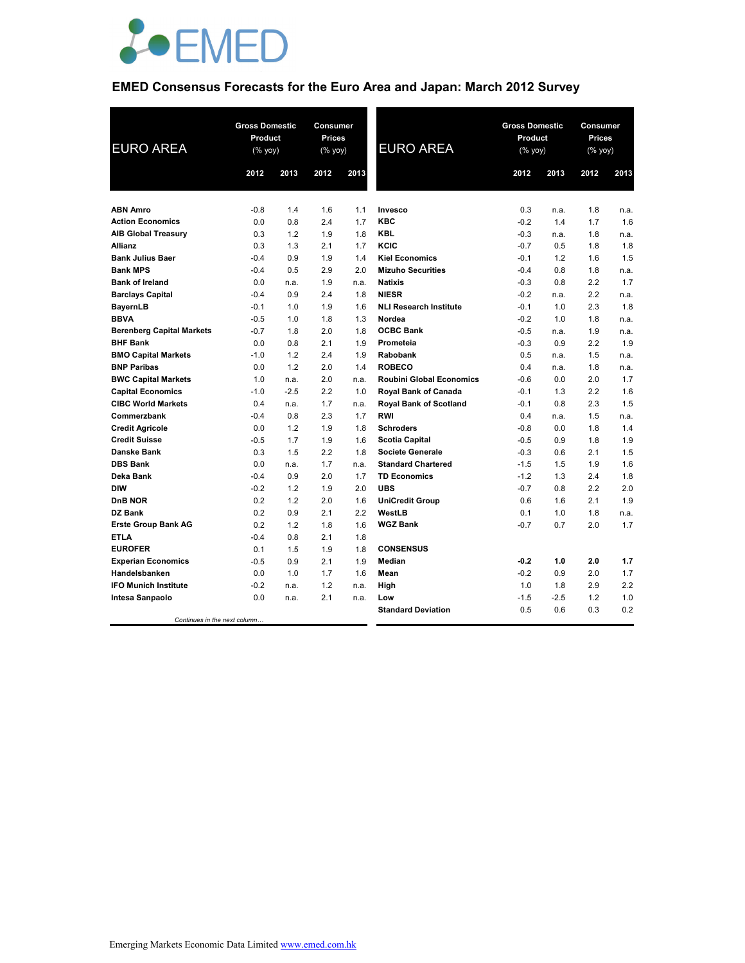

# **EMED Consensus Forecasts for the Euro Area and Japan: March 2012 Survey**

| <b>EURO AREA</b>                 | <b>Gross Domestic</b><br>Product<br>(% yoy) |        | <b>Consumer</b><br>Prices<br>$(% \mathsf{Y}^{\prime }\mathsf{Y}^{\prime }\mathsf{Y}^{\prime })$ |      | <b>EURO AREA</b>                | <b>Gross Domestic</b><br>Product<br>$(% \mathsf{Y}^{\prime }\mathsf{Y}^{\prime }\mathsf{Y}^{\prime })$ |        | Consumer<br><b>Prices</b><br>(% yoy) |      |
|----------------------------------|---------------------------------------------|--------|-------------------------------------------------------------------------------------------------|------|---------------------------------|--------------------------------------------------------------------------------------------------------|--------|--------------------------------------|------|
|                                  | 2012                                        | 2013   | 2012                                                                                            | 2013 |                                 | 2012                                                                                                   | 2013   | 2012                                 | 2013 |
|                                  |                                             |        |                                                                                                 |      |                                 |                                                                                                        |        |                                      |      |
| <b>ABN Amro</b>                  | $-0.8$                                      | 1.4    | 1.6                                                                                             | 1.1  | Invesco                         | 0.3                                                                                                    | n.a.   | 1.8                                  | n.a. |
| <b>Action Economics</b>          | 0.0                                         | 0.8    | 2.4                                                                                             | 1.7  | <b>KBC</b>                      | $-0.2$                                                                                                 | 1.4    | 1.7                                  | 1.6  |
| <b>AIB Global Treasury</b>       | 0.3                                         | 1.2    | 1.9                                                                                             | 1.8  | <b>KBL</b>                      | $-0.3$                                                                                                 | n.a.   | 1.8                                  | n.a. |
| <b>Allianz</b>                   | 0.3                                         | 1.3    | 2.1                                                                                             | 1.7  | KCIC                            | $-0.7$                                                                                                 | 0.5    | 1.8                                  | 1.8  |
| <b>Bank Julius Baer</b>          | $-0.4$                                      | 0.9    | 1.9                                                                                             | 1.4  | <b>Kiel Economics</b>           | $-0.1$                                                                                                 | 1.2    | 1.6                                  | 1.5  |
| <b>Bank MPS</b>                  | $-0.4$                                      | 0.5    | 2.9                                                                                             | 2.0  | <b>Mizuho Securities</b>        | $-0.4$                                                                                                 | 0.8    | 1.8                                  | n.a. |
| <b>Bank of Ireland</b>           | 0.0                                         | n.a.   | 1.9                                                                                             | n.a. | <b>Natixis</b>                  | $-0.3$                                                                                                 | 0.8    | 2.2                                  | 1.7  |
| <b>Barclays Capital</b>          | $-0.4$                                      | 0.9    | 2.4                                                                                             | 1.8  | <b>NIESR</b>                    | $-0.2$                                                                                                 | n.a.   | 2.2                                  | n.a. |
| <b>BayernLB</b>                  | $-0.1$                                      | 1.0    | 1.9                                                                                             | 1.6  | <b>NLI Research Institute</b>   | $-0.1$                                                                                                 | 1.0    | 2.3                                  | 1.8  |
| <b>BBVA</b>                      | $-0.5$                                      | 1.0    | 1.8                                                                                             | 1.3  | Nordea                          | $-0.2$                                                                                                 | 1.0    | 1.8                                  | n.a. |
| <b>Berenberg Capital Markets</b> | $-0.7$                                      | 1.8    | 2.0                                                                                             | 1.8  | <b>OCBC Bank</b>                | $-0.5$                                                                                                 | n.a.   | 1.9                                  | n.a. |
| <b>BHF Bank</b>                  | 0.0                                         | 0.8    | 2.1                                                                                             | 1.9  | Prometeia                       | $-0.3$                                                                                                 | 0.9    | 2.2                                  | 1.9  |
| <b>BMO Capital Markets</b>       | $-1.0$                                      | 1.2    | 2.4                                                                                             | 1.9  | <b>Rabobank</b>                 | 0.5                                                                                                    | n.a.   | 1.5                                  | n.a. |
| <b>BNP Paribas</b>               | 0.0                                         | 1.2    | 2.0                                                                                             | 1.4  | <b>ROBECO</b>                   | 0.4                                                                                                    | n.a.   | 1.8                                  | n.a. |
| <b>BWC Capital Markets</b>       | 1.0                                         | n.a.   | 2.0                                                                                             | n.a. | <b>Roubini Global Economics</b> | $-0.6$                                                                                                 | 0.0    | 2.0                                  | 1.7  |
| <b>Capital Economics</b>         | $-1.0$                                      | $-2.5$ | 2.2                                                                                             | 1.0  | Royal Bank of Canada            | $-0.1$                                                                                                 | 1.3    | 2.2                                  | 1.6  |
| <b>CIBC World Markets</b>        | 0.4                                         | n.a.   | 1.7                                                                                             | n.a. | Royal Bank of Scotland          | $-0.1$                                                                                                 | 0.8    | 2.3                                  | 1.5  |
| Commerzbank                      | $-0.4$                                      | 0.8    | 2.3                                                                                             | 1.7  | <b>RWI</b>                      | 0.4                                                                                                    | n.a.   | 1.5                                  | n.a. |
| <b>Credit Agricole</b>           | 0.0                                         | 1.2    | 1.9                                                                                             | 1.8  | <b>Schroders</b>                | $-0.8$                                                                                                 | 0.0    | 1.8                                  | 1.4  |
| <b>Credit Suisse</b>             | $-0.5$                                      | 1.7    | 1.9                                                                                             | 1.6  | <b>Scotia Capital</b>           | $-0.5$                                                                                                 | 0.9    | 1.8                                  | 1.9  |
| <b>Danske Bank</b>               | 0.3                                         | 1.5    | 2.2                                                                                             | 1.8  | <b>Societe Generale</b>         | $-0.3$                                                                                                 | 0.6    | 2.1                                  | 1.5  |
| <b>DBS Bank</b>                  | 0.0                                         | n.a.   | 1.7                                                                                             | n.a. | <b>Standard Chartered</b>       | $-1.5$                                                                                                 | 1.5    | 1.9                                  | 1.6  |
| Deka Bank                        | $-0.4$                                      | 0.9    | 2.0                                                                                             | 1.7  | <b>TD Economics</b>             | $-1.2$                                                                                                 | 1.3    | 2.4                                  | 1.8  |
| <b>DIW</b>                       | $-0.2$                                      | 1.2    | 1.9                                                                                             | 2.0  | <b>UBS</b>                      | $-0.7$                                                                                                 | 0.8    | 2.2                                  | 2.0  |
| <b>DnB NOR</b>                   | 0.2                                         | 1.2    | 2.0                                                                                             | 1.6  | <b>UniCredit Group</b>          | 0.6                                                                                                    | 1.6    | 2.1                                  | 1.9  |
| DZ Bank                          | 0.2                                         | 0.9    | 2.1                                                                                             | 2.2  | WestLB                          | 0.1                                                                                                    | 1.0    | 1.8                                  | n.a. |
| <b>Erste Group Bank AG</b>       | 0.2                                         | 1.2    | 1.8                                                                                             | 1.6  | <b>WGZ Bank</b>                 | $-0.7$                                                                                                 | 0.7    | 2.0                                  | 1.7  |
| <b>ETLA</b>                      | $-0.4$                                      | 0.8    | 2.1                                                                                             | 1.8  |                                 |                                                                                                        |        |                                      |      |
| <b>EUROFER</b>                   | 0.1                                         | 1.5    | 1.9                                                                                             | 1.8  | <b>CONSENSUS</b>                |                                                                                                        |        |                                      |      |
| <b>Experian Economics</b>        | $-0.5$                                      | 0.9    | 2.1                                                                                             | 1.9  | <b>Median</b>                   | $-0.2$                                                                                                 | 1.0    | 2.0                                  | 1.7  |
| Handelsbanken                    | 0.0                                         | 1.0    | 1.7                                                                                             | 1.6  | Mean                            | $-0.2$                                                                                                 | 0.9    | 2.0                                  | 1.7  |
| <b>IFO Munich Institute</b>      | $-0.2$                                      | n.a.   | 1.2                                                                                             | n.a. | High                            | 1.0                                                                                                    | 1.8    | 2.9                                  | 2.2  |
| Intesa Sanpaolo                  | 0.0                                         | n.a.   | 2.1                                                                                             | n.a. | Low                             | $-1.5$                                                                                                 | $-2.5$ | 1.2                                  | 1.0  |
|                                  |                                             |        |                                                                                                 |      | <b>Standard Deviation</b>       | 0.5                                                                                                    | 0.6    | 0.3                                  | 0.2  |
| Continues in the next column     |                                             |        |                                                                                                 |      |                                 |                                                                                                        |        |                                      |      |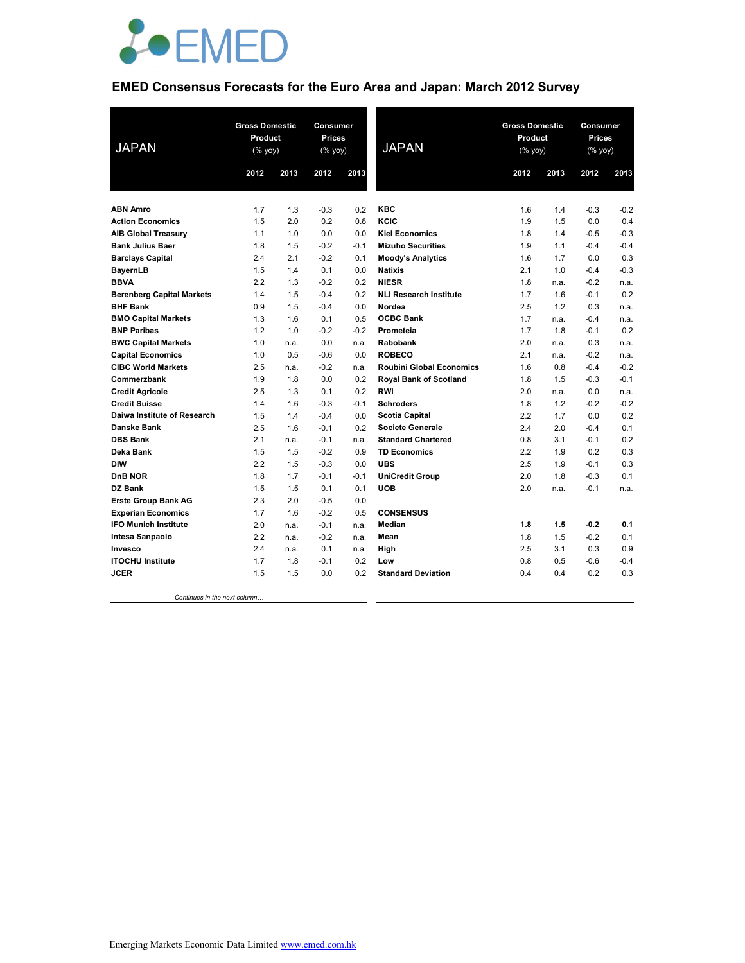

# **EMED Consensus Forecasts for the Euro Area and Japan: March 2012 Survey**

| <b>JAPAN</b>                     | <b>Gross Domestic</b><br>Product<br>(% yoy) |      | Consumer<br><b>Prices</b><br>(% yoy) |        | <b>JAPAN</b>                    | <b>Gross Domestic</b><br>Product<br>(% yoy) |      | Consumer<br><b>Prices</b><br>(% yoy) |        |
|----------------------------------|---------------------------------------------|------|--------------------------------------|--------|---------------------------------|---------------------------------------------|------|--------------------------------------|--------|
|                                  | 2012                                        | 2013 | 2012                                 | 2013   |                                 | 2012                                        | 2013 | 2012                                 | 2013   |
|                                  |                                             |      |                                      |        |                                 |                                             |      |                                      |        |
| <b>ABN Amro</b>                  | 1.7                                         | 1.3  | $-0.3$                               | 0.2    | <b>KBC</b>                      | 1.6                                         | 1.4  | $-0.3$                               | $-0.2$ |
| <b>Action Economics</b>          | 1.5                                         | 2.0  | 0.2                                  | 0.8    | KCIC                            | 1.9                                         | 1.5  | 0.0                                  | 0.4    |
| <b>AIB Global Treasury</b>       | 1.1                                         | 1.0  | 0.0                                  | 0.0    | <b>Kiel Economics</b>           | 1.8                                         | 1.4  | $-0.5$                               | $-0.3$ |
| <b>Bank Julius Baer</b>          | 1.8                                         | 1.5  | $-0.2$                               | $-0.1$ | <b>Mizuho Securities</b>        | 1.9                                         | 1.1  | $-0.4$                               | $-0.4$ |
| <b>Barclays Capital</b>          | 2.4                                         | 2.1  | $-0.2$                               | 0.1    | <b>Moody's Analytics</b>        | 1.6                                         | 1.7  | 0.0                                  | 0.3    |
| <b>BayernLB</b>                  | 1.5                                         | 1.4  | 0.1                                  | 0.0    | <b>Natixis</b>                  | 2.1                                         | 1.0  | $-0.4$                               | $-0.3$ |
| <b>BBVA</b>                      | 2.2                                         | 1.3  | $-0.2$                               | 0.2    | <b>NIESR</b>                    | 1.8                                         | n.a. | $-0.2$                               | n.a.   |
| <b>Berenberg Capital Markets</b> | 1.4                                         | 1.5  | $-0.4$                               | 0.2    | <b>NLI Research Institute</b>   | 1.7                                         | 1.6  | $-0.1$                               | 0.2    |
| <b>BHF Bank</b>                  | 0.9                                         | 1.5  | $-0.4$                               | 0.0    | Nordea                          | 2.5                                         | 1.2  | 0.3                                  | n.a.   |
| <b>BMO Capital Markets</b>       | 1.3                                         | 1.6  | 0.1                                  | 0.5    | <b>OCBC Bank</b>                | 1.7                                         | n.a. | $-0.4$                               | n.a.   |
| <b>BNP Paribas</b>               | 1.2                                         | 1.0  | $-0.2$                               | $-0.2$ | Prometeia                       | 1.7                                         | 1.8  | $-0.1$                               | 0.2    |
| <b>BWC Capital Markets</b>       | 1.0                                         | n.a. | 0.0                                  | n.a.   | Rabobank                        | 2.0                                         | n.a. | 0.3                                  | n.a.   |
| <b>Capital Economics</b>         | 1.0                                         | 0.5  | $-0.6$                               | 0.0    | <b>ROBECO</b>                   | 2.1                                         | n.a. | $-0.2$                               | n.a.   |
| <b>CIBC World Markets</b>        | 2.5                                         | n.a. | $-0.2$                               | n.a.   | <b>Roubini Global Economics</b> | 1.6                                         | 0.8  | $-0.4$                               | $-0.2$ |
| Commerzbank                      | 1.9                                         | 1.8  | 0.0                                  | 0.2    | <b>Royal Bank of Scotland</b>   | 1.8                                         | 1.5  | $-0.3$                               | $-0.1$ |
| <b>Credit Agricole</b>           | 2.5                                         | 1.3  | 0.1                                  | 0.2    | <b>RWI</b>                      | 2.0                                         | n.a. | 0.0                                  | n.a.   |
| <b>Credit Suisse</b>             | 1.4                                         | 1.6  | $-0.3$                               | $-0.1$ | <b>Schroders</b>                | 1.8                                         | 1.2  | $-0.2$                               | $-0.2$ |
| Daiwa Institute of Research      | 1.5                                         | 1.4  | $-0.4$                               | 0.0    | <b>Scotia Capital</b>           | 2.2                                         | 1.7  | 0.0                                  | 0.2    |
| <b>Danske Bank</b>               | 2.5                                         | 1.6  | $-0.1$                               | 0.2    | <b>Societe Generale</b>         | 2.4                                         | 2.0  | $-0.4$                               | 0.1    |
| <b>DBS Bank</b>                  | 2.1                                         | n.a. | $-0.1$                               | n.a.   | <b>Standard Chartered</b>       | 0.8                                         | 3.1  | $-0.1$                               | 0.2    |
| Deka Bank                        | 1.5                                         | 1.5  | $-0.2$                               | 0.9    | <b>TD Economics</b>             | 2.2                                         | 1.9  | 0.2                                  | 0.3    |
| <b>DIW</b>                       | 2.2                                         | 1.5  | $-0.3$                               | 0.0    | <b>UBS</b>                      | 2.5                                         | 1.9  | $-0.1$                               | 0.3    |
| DnB NOR                          | 1.8                                         | 1.7  | $-0.1$                               | $-0.1$ | <b>UniCredit Group</b>          | 2.0                                         | 1.8  | $-0.3$                               | 0.1    |
| DZ Bank                          | 1.5                                         | 1.5  | 0.1                                  | 0.1    | <b>UOB</b>                      | 2.0                                         | n.a. | $-0.1$                               | n.a.   |
| <b>Erste Group Bank AG</b>       | 2.3                                         | 2.0  | $-0.5$                               | 0.0    |                                 |                                             |      |                                      |        |
| <b>Experian Economics</b>        | 1.7                                         | 1.6  | $-0.2$                               | 0.5    | <b>CONSENSUS</b>                |                                             |      |                                      |        |
| <b>IFO Munich Institute</b>      | 2.0                                         | n.a. | $-0.1$                               | n.a.   | Median                          | 1.8                                         | 1.5  | $-0.2$                               | 0.1    |
| Intesa Sanpaolo                  | 2.2                                         | n.a. | $-0.2$                               | n.a.   | Mean                            | 1.8                                         | 1.5  | $-0.2$                               | 0.1    |
| Invesco                          | 2.4                                         | n.a. | 0.1                                  | n.a.   | High                            | 2.5                                         | 3.1  | 0.3                                  | 0.9    |
| <b>ITOCHU Institute</b>          | 1.7                                         | 1.8  | $-0.1$                               | 0.2    | Low                             | 0.8                                         | 0.5  | $-0.6$                               | $-0.4$ |
| <b>JCER</b>                      | 1.5                                         | 1.5  | 0.0                                  | 0.2    | <b>Standard Deviation</b>       | 0.4                                         | 0.4  | 0.2                                  | 0.3    |

 *Continues in the next column…*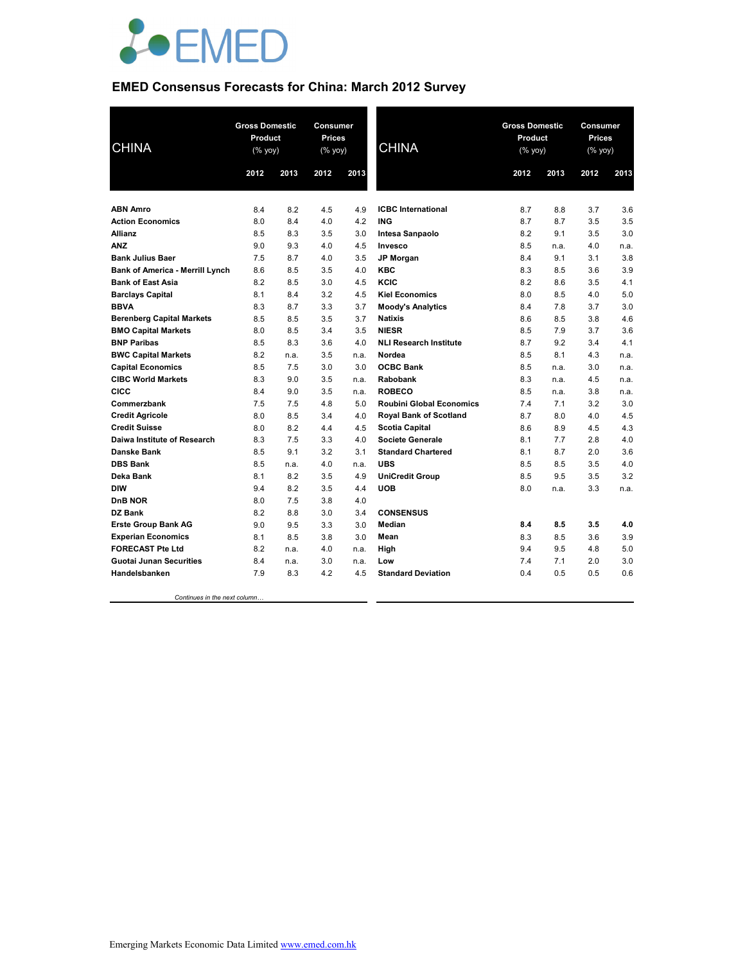

# **EMED Consensus Forecasts for China: March 2012 Survey**

| <b>CHINA</b>                           |      | <b>Gross Domestic</b><br><b>Gross Domestic</b><br><b>Consumer</b><br>Product<br><b>Prices</b><br>Product<br><b>CHINA</b><br>(% yoy)<br>(% yoy)<br>$(%$ yoy) |      |      | Consumer<br><b>Prices</b><br>(% yoy) |      |      |      |      |
|----------------------------------------|------|-------------------------------------------------------------------------------------------------------------------------------------------------------------|------|------|--------------------------------------|------|------|------|------|
|                                        | 2012 | 2013                                                                                                                                                        | 2012 | 2013 |                                      | 2012 | 2013 | 2012 | 2013 |
|                                        |      |                                                                                                                                                             |      |      |                                      |      |      |      |      |
| <b>ABN Amro</b>                        | 8.4  | 8.2                                                                                                                                                         | 4.5  | 4.9  | <b>ICBC</b> International            | 8.7  | 8.8  | 3.7  | 3.6  |
| <b>Action Economics</b>                | 8.0  | 8.4                                                                                                                                                         | 4.0  | 4.2  | <b>ING</b>                           | 8.7  | 8.7  | 3.5  | 3.5  |
| <b>Allianz</b>                         | 8.5  | 8.3                                                                                                                                                         | 3.5  | 3.0  | Intesa Sanpaolo                      | 8.2  | 9.1  | 3.5  | 3.0  |
| <b>ANZ</b>                             | 9.0  | 9.3                                                                                                                                                         | 4.0  | 4.5  | Invesco                              | 8.5  | n.a. | 4.0  | n.a. |
| <b>Bank Julius Baer</b>                | 7.5  | 8.7                                                                                                                                                         | 4.0  | 3.5  | <b>JP Morgan</b>                     | 8.4  | 9.1  | 3.1  | 3.8  |
| <b>Bank of America - Merrill Lynch</b> | 8.6  | 8.5                                                                                                                                                         | 3.5  | 4.0  | <b>KBC</b>                           | 8.3  | 8.5  | 3.6  | 3.9  |
| <b>Bank of East Asia</b>               | 8.2  | 8.5                                                                                                                                                         | 3.0  | 4.5  | KCIC                                 | 8.2  | 8.6  | 3.5  | 4.1  |
| <b>Barclays Capital</b>                | 8.1  | 8.4                                                                                                                                                         | 3.2  | 4.5  | <b>Kiel Economics</b>                | 8.0  | 8.5  | 4.0  | 5.0  |
| <b>BBVA</b>                            | 8.3  | 8.7                                                                                                                                                         | 3.3  | 3.7  | <b>Moody's Analytics</b>             | 8.4  | 7.8  | 3.7  | 3.0  |
| <b>Berenberg Capital Markets</b>       | 8.5  | 8.5                                                                                                                                                         | 3.5  | 3.7  | <b>Natixis</b>                       | 8.6  | 8.5  | 3.8  | 4.6  |
| <b>BMO Capital Markets</b>             | 8.0  | 8.5                                                                                                                                                         | 3.4  | 3.5  | <b>NIESR</b>                         | 8.5  | 7.9  | 3.7  | 3.6  |
| <b>BNP Paribas</b>                     | 8.5  | 8.3                                                                                                                                                         | 3.6  | 4.0  | <b>NLI Research Institute</b>        | 8.7  | 9.2  | 3.4  | 4.1  |
| <b>BWC Capital Markets</b>             | 8.2  | n.a.                                                                                                                                                        | 3.5  | n.a. | Nordea                               | 8.5  | 8.1  | 4.3  | n.a. |
| <b>Capital Economics</b>               | 8.5  | 7.5                                                                                                                                                         | 3.0  | 3.0  | <b>OCBC Bank</b>                     | 8.5  | n.a. | 3.0  | n.a. |
| <b>CIBC World Markets</b>              | 8.3  | 9.0                                                                                                                                                         | 3.5  | n.a. | Rabobank                             | 8.3  | n.a. | 4.5  | n.a. |
| CICC                                   | 8.4  | 9.0                                                                                                                                                         | 3.5  | n.a. | <b>ROBECO</b>                        | 8.5  | n.a. | 3.8  | n.a. |
| Commerzbank                            | 7.5  | 7.5                                                                                                                                                         | 4.8  | 5.0  | <b>Roubini Global Economics</b>      | 7.4  | 7.1  | 3.2  | 3.0  |
| <b>Credit Agricole</b>                 | 8.0  | 8.5                                                                                                                                                         | 3.4  | 4.0  | Royal Bank of Scotland               | 8.7  | 8.0  | 4.0  | 4.5  |
| <b>Credit Suisse</b>                   | 8.0  | 8.2                                                                                                                                                         | 4.4  | 4.5  | <b>Scotia Capital</b>                | 8.6  | 8.9  | 4.5  | 4.3  |
| Daiwa Institute of Research            | 8.3  | 7.5                                                                                                                                                         | 3.3  | 4.0  | Societe Generale                     | 8.1  | 7.7  | 2.8  | 4.0  |
| <b>Danske Bank</b>                     | 8.5  | 9.1                                                                                                                                                         | 3.2  | 3.1  | <b>Standard Chartered</b>            | 8.1  | 8.7  | 2.0  | 3.6  |
| <b>DBS Bank</b>                        | 8.5  | n.a.                                                                                                                                                        | 4.0  | n.a. | <b>UBS</b>                           | 8.5  | 8.5  | 3.5  | 4.0  |
| Deka Bank                              | 8.1  | 8.2                                                                                                                                                         | 3.5  | 4.9  | <b>UniCredit Group</b>               | 8.5  | 9.5  | 3.5  | 3.2  |
| <b>DIW</b>                             | 9.4  | 8.2                                                                                                                                                         | 3.5  | 4.4  | <b>UOB</b>                           | 8.0  | n.a. | 3.3  | n.a. |
| <b>DnB NOR</b>                         | 8.0  | 7.5                                                                                                                                                         | 3.8  | 4.0  |                                      |      |      |      |      |
| DZ Bank                                | 8.2  | 8.8                                                                                                                                                         | 3.0  | 3.4  | <b>CONSENSUS</b>                     |      |      |      |      |
| <b>Erste Group Bank AG</b>             | 9.0  | 9.5                                                                                                                                                         | 3.3  | 3.0  | Median                               | 8.4  | 8.5  | 3.5  | 4.0  |
| <b>Experian Economics</b>              | 8.1  | 8.5                                                                                                                                                         | 3.8  | 3.0  | Mean                                 | 8.3  | 8.5  | 3.6  | 3.9  |
| <b>FORECAST Pte Ltd</b>                | 8.2  | n.a.                                                                                                                                                        | 4.0  | n.a. | High                                 | 9.4  | 9.5  | 4.8  | 5.0  |
| <b>Guotai Junan Securities</b>         | 8.4  | n.a.                                                                                                                                                        | 3.0  | n.a. | Low                                  | 7.4  | 7.1  | 2.0  | 3.0  |
| Handelsbanken                          | 7.9  | 8.3                                                                                                                                                         | 4.2  | 4.5  | <b>Standard Deviation</b>            | 0.4  | 0.5  | 0.5  | 0.6  |
|                                        |      |                                                                                                                                                             |      |      |                                      |      |      |      |      |

 *Continues in the next column…*